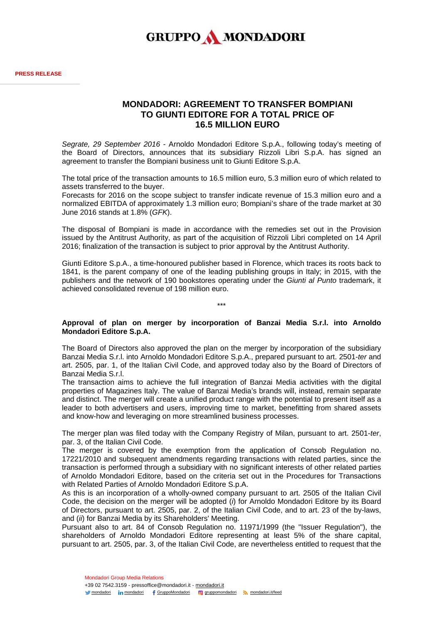

## **MONDADORI: AGREEMENT TO TRANSFER BOMPIANI TO GIUNTI EDITORE FOR A TOTAL PRICE OF 16.5 MILLION EURO**

*Segrate, 29 September 2016* - Arnoldo Mondadori Editore S.p.A., following today's meeting of the Board of Directors, announces that its subsidiary Rizzoli Libri S.p.A. has signed an agreement to transfer the Bompiani business unit to Giunti Editore S.p.A.

The total price of the transaction amounts to 16.5 million euro, 5.3 million euro of which related to assets transferred to the buyer.

Forecasts for 2016 on the scope subject to transfer indicate revenue of 15.3 million euro and a normalized EBITDA of approximately 1.3 million euro; Bompiani's share of the trade market at 30 June 2016 stands at 1.8% (*GFK*).

The disposal of Bompiani is made in accordance with the remedies set out in the Provision issued by the Antitrust Authority, as part of the acquisition of Rizzoli Libri completed on 14 April 2016; finalization of the transaction is subject to prior approval by the Antitrust Authority.

Giunti Editore S.p.A., a time-honoured publisher based in Florence, which traces its roots back to 1841, is the parent company of one of the leading publishing groups in Italy; in 2015, with the publishers and the network of 190 bookstores operating under the *Giunti al Punto* trademark, it achieved consolidated revenue of 198 million euro.

## **Approval of plan on merger by incorporation of Banzai Media S.r.l. into Arnoldo Mondadori Editore S.p.A.**

\*\*\*

The Board of Directors also approved the plan on the merger by incorporation of the subsidiary Banzai Media S.r.l. into Arnoldo Mondadori Editore S.p.A., prepared pursuant to art. 2501-*ter* and art. 2505, par. 1, of the Italian Civil Code, and approved today also by the Board of Directors of Banzai Media S.r.l.

The transaction aims to achieve the full integration of Banzai Media activities with the digital properties of Magazines Italy. The value of Banzai Media's brands will, instead, remain separate and distinct. The merger will create a unified product range with the potential to present itself as a leader to both advertisers and users, improving time to market, benefitting from shared assets and know-how and leveraging on more streamlined business processes.

The merger plan was filed today with the Company Registry of Milan, pursuant to art. 2501-*ter*, par. 3, of the Italian Civil Code.

The merger is covered by the exemption from the application of Consob Regulation no. 17221/2010 and subsequent amendments regarding transactions with related parties, since the transaction is performed through a subsidiary with no significant interests of other related parties of Arnoldo Mondadori Editore, based on the criteria set out in the Procedures for Transactions with Related Parties of Arnoldo Mondadori Editore S.p.A.

As this is an incorporation of a wholly-owned company pursuant to art. 2505 of the Italian Civil Code, the decision on the merger will be adopted (*i*) for Arnoldo Mondadori Editore by its Board of Directors, pursuant to art. 2505, par. 2, of the Italian Civil Code, and to art. 23 of the by-laws, and (*ii*) for Banzai Media by its Shareholders' Meeting.

Pursuant also to art. 84 of Consob Regulation no. 11971/1999 (the "Issuer Regulation"), the shareholders of Arnoldo Mondadori Editore representing at least 5% of the share capital, pursuant to art. 2505, par. 3, of the Italian Civil Code, are nevertheless entitled to request that the